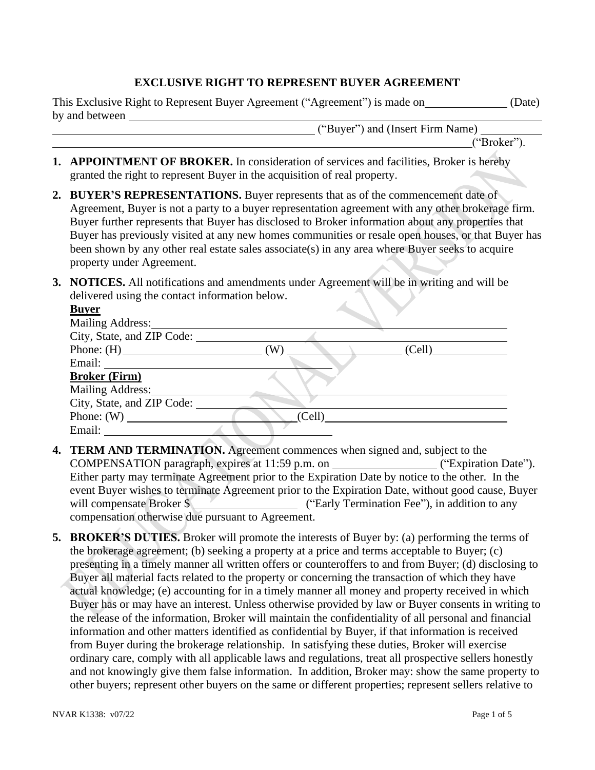### **EXCLUSIVE RIGHT TO REPRESENT BUYER AGREEMENT**

| This Exclusive Right to Represent Buyer Agreement ("Agreement") is made on | (Date) |
|----------------------------------------------------------------------------|--------|
| by and between                                                             |        |

("Buyer") and (Insert Firm Name)

("Broker").

- **1. APPOINTMENT OF BROKER.** In consideration of services and facilities, Broker is hereby granted the right to represent Buyer in the acquisition of real property.
- **2. BUYER'S REPRESENTATIONS.** Buyer represents that as of the commencement date of Agreement, Buyer is not a party to a buyer representation agreement with any other brokerage firm. Buyer further represents that Buyer has disclosed to Broker information about any properties that Buyer has previously visited at any new homes communities or resale open houses, or that Buyer has been shown by any other real estate sales associate(s) in any area where Buyer seeks to acquire property under Agreement.
- **3. NOTICES.** All notifications and amendments under Agreement will be in writing and will be delivered using the contact information below.

| <b>Buyer</b>                                                                                                                                                                                                                   |        |        |
|--------------------------------------------------------------------------------------------------------------------------------------------------------------------------------------------------------------------------------|--------|--------|
| <b>Mailing Address:</b>                                                                                                                                                                                                        |        |        |
| City, State, and ZIP Code:                                                                                                                                                                                                     |        |        |
|                                                                                                                                                                                                                                | (W)    | (Cell) |
| Email: The Company of the Company of the Company of the Company of the Company of the Company of the Company of the Company of the Company of the Company of the Company of the Company of the Company of the Company of the C |        |        |
| <b>Broker (Firm)</b>                                                                                                                                                                                                           |        |        |
| Mailing Address:                                                                                                                                                                                                               |        |        |
| City, State, and ZIP Code:                                                                                                                                                                                                     |        |        |
| Phone: $(W)$                                                                                                                                                                                                                   | (Cell) |        |
| Email:                                                                                                                                                                                                                         |        |        |

- **4. TERM AND TERMINATION.** Agreement commences when signed and, subject to the COMPENSATION paragraph, expires at 11:59 p.m. on ("Expiration Date"). Either party may terminate Agreement prior to the Expiration Date by notice to the other. In the event Buyer wishes to terminate Agreement prior to the Expiration Date, without good cause, Buyer will compensate Broker \$ ("Early Termination Fee"), in addition to any compensation otherwise due pursuant to Agreement.
- **5. BROKER'S DUTIES.** Broker will promote the interests of Buyer by: (a) performing the terms of the brokerage agreement; (b) seeking a property at a price and terms acceptable to Buyer; (c) presenting in a timely manner all written offers or counteroffers to and from Buyer; (d) disclosing to Buyer all material facts related to the property or concerning the transaction of which they have actual knowledge; (e) accounting for in a timely manner all money and property received in which Buyer has or may have an interest. Unless otherwise provided by law or Buyer consents in writing to the release of the information, Broker will maintain the confidentiality of all personal and financial information and other matters identified as confidential by Buyer, if that information is received from Buyer during the brokerage relationship. In satisfying these duties, Broker will exercise ordinary care, comply with all applicable laws and regulations, treat all prospective sellers honestly and not knowingly give them false information. In addition, Broker may: show the same property to other buyers; represent other buyers on the same or different properties; represent sellers relative to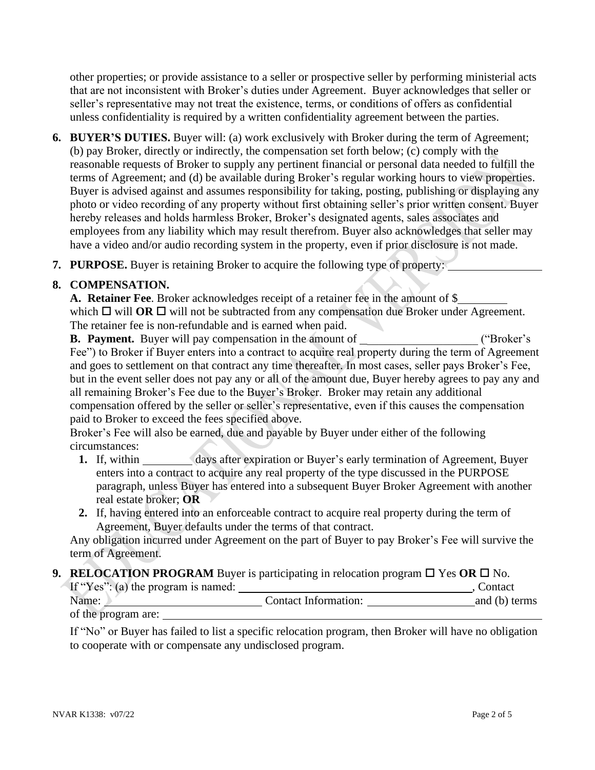other properties; or provide assistance to a seller or prospective seller by performing ministerial acts that are not inconsistent with Broker's duties under Agreement. Buyer acknowledges that seller or seller's representative may not treat the existence, terms, or conditions of offers as confidential unless confidentiality is required by a written confidentiality agreement between the parties.

- **6. BUYER'S DUTIES.** Buyer will: (a) work exclusively with Broker during the term of Agreement; (b) pay Broker, directly or indirectly, the compensation set forth below; (c) comply with the reasonable requests of Broker to supply any pertinent financial or personal data needed to fulfill the terms of Agreement; and (d) be available during Broker's regular working hours to view properties. Buyer is advised against and assumes responsibility for taking, posting, publishing or displaying any photo or video recording of any property without first obtaining seller's prior written consent. Buyer hereby releases and holds harmless Broker, Broker's designated agents, sales associates and employees from any liability which may result therefrom. Buyer also acknowledges that seller may have a video and/or audio recording system in the property, even if prior disclosure is not made.
- **7. PURPOSE.** Buyer is retaining Broker to acquire the following type of property:

### **8. COMPENSATION.**

**A. Retainer Fee**. Broker acknowledges receipt of a retainer fee in the amount of \$ which  $\Box$  will **OR**  $\Box$  will not be subtracted from any compensation due Broker under Agreement. The retainer fee is non-refundable and is earned when paid.

**B.** Payment. Buyer will pay compensation in the amount of  $($ "Broker's Fee") to Broker if Buyer enters into a contract to acquire real property during the term of Agreement and goes to settlement on that contract any time thereafter. In most cases, seller pays Broker's Fee, but in the event seller does not pay any or all of the amount due, Buyer hereby agrees to pay any and all remaining Broker's Fee due to the Buyer's Broker. Broker may retain any additional compensation offered by the seller or seller's representative, even if this causes the compensation paid to Broker to exceed the fees specified above.

Broker's Fee will also be earned, due and payable by Buyer under either of the following circumstances:

- **1.** If, within days after expiration or Buyer's early termination of Agreement, Buyer enters into a contract to acquire any real property of the type discussed in the PURPOSE paragraph, unless Buyer has entered into a subsequent Buyer Broker Agreement with another real estate broker; **OR**
- **2.** If, having entered into an enforceable contract to acquire real property during the term of Agreement, Buyer defaults under the terms of that contract.

Any obligation incurred under Agreement on the part of Buyer to pay Broker's Fee will survive the term of Agreement.

### **9. RELOCATION PROGRAM** Buyer is participating in relocation program  $\Box$  Yes OR  $\Box$  No.

| If "Yes": (a) the program is named: |                      | Contact       |
|-------------------------------------|----------------------|---------------|
| Name:                               | Contact Information: | and (b) terms |
| of the program are:                 |                      |               |

If "No" or Buyer has failed to list a specific relocation program, then Broker will have no obligation to cooperate with or compensate any undisclosed program.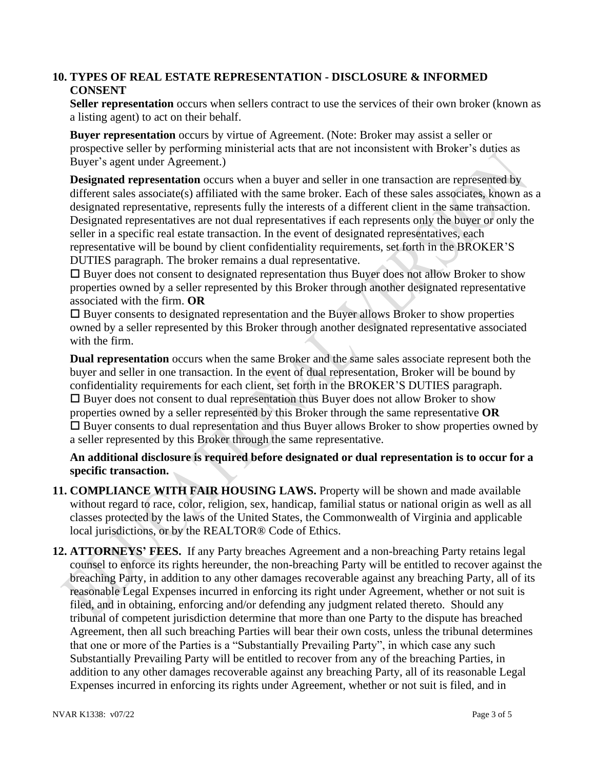## **10. TYPES OF REAL ESTATE REPRESENTATION - DISCLOSURE & INFORMED CONSENT**

**Seller representation** occurs when sellers contract to use the services of their own broker (known as a listing agent) to act on their behalf.

**Buyer representation** occurs by virtue of Agreement. (Note: Broker may assist a seller or prospective seller by performing ministerial acts that are not inconsistent with Broker's duties as Buyer's agent under Agreement.)

**Designated representation** occurs when a buyer and seller in one transaction are represented by different sales associate(s) affiliated with the same broker. Each of these sales associates, known as a designated representative, represents fully the interests of a different client in the same transaction. Designated representatives are not dual representatives if each represents only the buyer or only the seller in a specific real estate transaction. In the event of designated representatives, each representative will be bound by client confidentiality requirements, set forth in the BROKER'S DUTIES paragraph. The broker remains a dual representative.

 $\square$  Buyer does not consent to designated representation thus Buyer does not allow Broker to show properties owned by a seller represented by this Broker through another designated representative associated with the firm. **OR**

 $\square$  Buyer consents to designated representation and the Buyer allows Broker to show properties owned by a seller represented by this Broker through another designated representative associated with the firm.

**Dual representation** occurs when the same Broker and the same sales associate represent both the buyer and seller in one transaction. In the event of dual representation, Broker will be bound by confidentiality requirements for each client, set forth in the BROKER'S DUTIES paragraph.  $\square$  Buyer does not consent to dual representation thus Buyer does not allow Broker to show properties owned by a seller represented by this Broker through the same representative **OR**  $\square$  Buyer consents to dual representation and thus Buyer allows Broker to show properties owned by a seller represented by this Broker through the same representative.

**An additional disclosure is required before designated or dual representation is to occur for a specific transaction.**

- **11. COMPLIANCE WITH FAIR HOUSING LAWS.** Property will be shown and made available without regard to race, color, religion, sex, handicap, familial status or national origin as well as all classes protected by the laws of the United States, the Commonwealth of Virginia and applicable local jurisdictions, or by the REALTOR® Code of Ethics.
- **12. ATTORNEYS' FEES.** If any Party breaches Agreement and a non-breaching Party retains legal counsel to enforce its rights hereunder, the non-breaching Party will be entitled to recover against the breaching Party, in addition to any other damages recoverable against any breaching Party, all of its reasonable Legal Expenses incurred in enforcing its right under Agreement, whether or not suit is filed, and in obtaining, enforcing and/or defending any judgment related thereto. Should any tribunal of competent jurisdiction determine that more than one Party to the dispute has breached Agreement, then all such breaching Parties will bear their own costs, unless the tribunal determines that one or more of the Parties is a "Substantially Prevailing Party", in which case any such Substantially Prevailing Party will be entitled to recover from any of the breaching Parties, in addition to any other damages recoverable against any breaching Party, all of its reasonable Legal Expenses incurred in enforcing its rights under Agreement, whether or not suit is filed, and in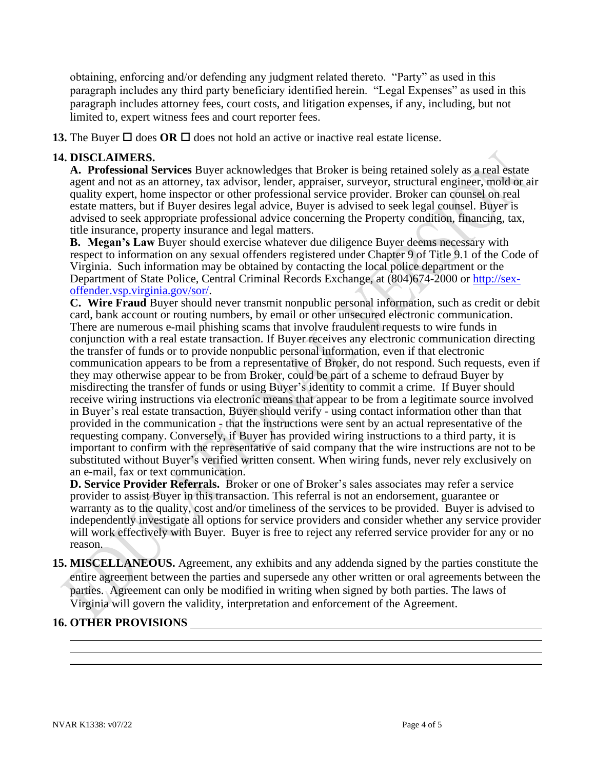obtaining, enforcing and/or defending any judgment related thereto. "Party" as used in this paragraph includes any third party beneficiary identified herein. "Legal Expenses" as used in this paragraph includes attorney fees, court costs, and litigation expenses, if any, including, but not limited to, expert witness fees and court reporter fees.

**13.** The Buyer  $\Box$  does **OR**  $\Box$  does not hold an active or inactive real estate license.

# **14. DISCLAIMERS.**

**A. Professional Services** Buyer acknowledges that Broker is being retained solely as a real estate agent and not as an attorney, tax advisor, lender, appraiser, surveyor, structural engineer, mold or air quality expert, home inspector or other professional service provider. Broker can counsel on real estate matters, but if Buyer desires legal advice, Buyer is advised to seek legal counsel. Buyer is advised to seek appropriate professional advice concerning the Property condition, financing, tax, title insurance, property insurance and legal matters.

**B. Megan's Law** Buyer should exercise whatever due diligence Buyer deems necessary with respect to information on any sexual offenders registered under Chapter 9 of Title 9.1 of the Code of Virginia. Such information may be obtained by contacting the local police department or the Department of State Police, Central Criminal Records Exchange, at (804)674-2000 or [http://sex](http://sex-offender.vsp.virginia.gov/sor/)[offender.vsp.virginia.gov/sor/.](http://sex-offender.vsp.virginia.gov/sor/)

**C. Wire Fraud** Buyer should never transmit nonpublic personal information, such as credit or debit card, bank account or routing numbers, by email or other unsecured electronic communication. There are numerous e-mail phishing scams that involve fraudulent requests to wire funds in conjunction with a real estate transaction. If Buyer receives any electronic communication directing the transfer of funds or to provide nonpublic personal information, even if that electronic communication appears to be from a representative of Broker, do not respond. Such requests, even if they may otherwise appear to be from Broker, could be part of a scheme to defraud Buyer by misdirecting the transfer of funds or using Buyer's identity to commit a crime. If Buyer should receive wiring instructions via electronic means that appear to be from a legitimate source involved in Buyer's real estate transaction, Buyer should verify - using contact information other than that provided in the communication  $\frac{1}{2}$  that the instructions were sent by an actual representative of the requesting company. Conversely, if Buyer has provided wiring instructions to a third party, it is important to confirm with the representative of said company that the wire instructions are not to be substituted without Buyer's verified written consent. When wiring funds, never rely exclusively on an e-mail, fax or text communication.

**D. Service Provider Referrals.** Broker or one of Broker's sales associates may refer a service provider to assist Buyer in this transaction. This referral is not an endorsement, guarantee or warranty as to the quality, cost and/or timeliness of the services to be provided. Buyer is advised to independently investigate all options for service providers and consider whether any service provider will work effectively with Buyer. Buyer is free to reject any referred service provider for any or no reason.

**15. MISCELLANEOUS.** Agreement, any exhibits and any addenda signed by the parties constitute the entire agreement between the parties and supersede any other written or oral agreements between the parties. Agreement can only be modified in writing when signed by both parties. The laws of Virginia will govern the validity, interpretation and enforcement of the Agreement.

# **16. OTHER PROVISIONS**